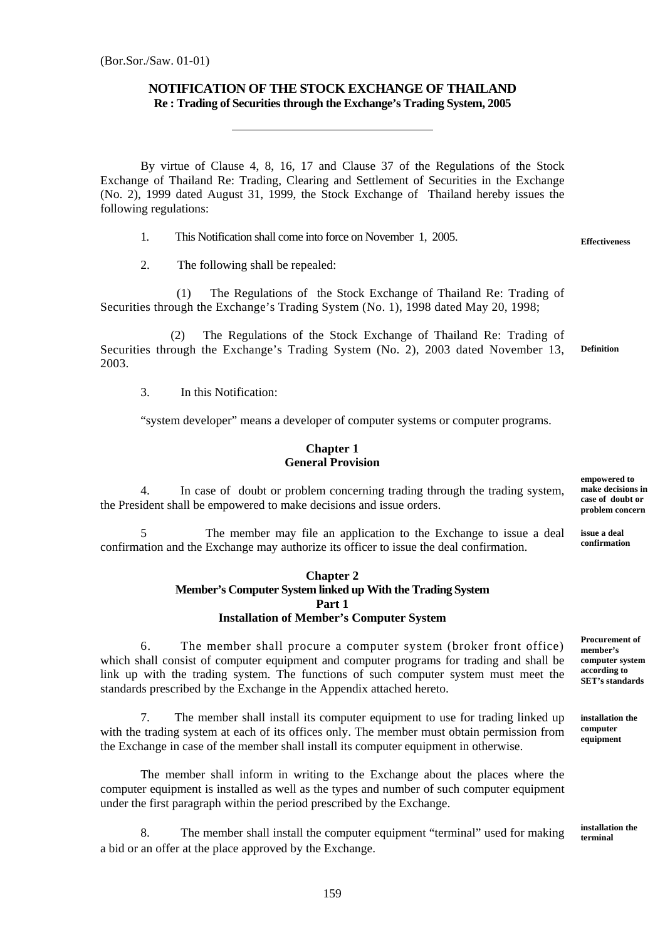## **NOTIFICATION OF THE STOCK EXCHANGE OF THAILAND Re : Trading of Securities through the Exchange's Trading System, 2005**

By virtue of Clause 4, 8, 16, 17 and Clause 37 of the Regulations of the Stock Exchange of Thailand Re: Trading, Clearing and Settlement of Securities in the Exchange (No. 2), 1999 dated August 31, 1999, the Stock Exchange of Thailand hereby issues the following regulations:

1. This Notification shall come into force on November 1, 2005.

2. The following shall be repealed:

l,

 (1) The Regulations of the Stock Exchange of Thailand Re: Trading of Securities through the Exchange's Trading System (No. 1), 1998 dated May 20, 1998;

 (2) The Regulations of the Stock Exchange of Thailand Re: Trading of Securities through the Exchange's Trading System (No. 2), 2003 dated November 13, 2003. **Definition** 

3. In this Notification:

"system developer" means a developer of computer systems or computer programs.

## **Chapter 1 General Provision**

4. In case of doubt or problem concerning trading through the trading system, the President shall be empowered to make decisions and issue orders.

5 The member may file an application to the Exchange to issue a deal confirmation and the Exchange may authorize its officer to issue the deal confirmation.

### **Chapter 2 Member's Computer System linked up With the Trading System Part 1 Installation of Member's Computer System**

6. The member shall procure a computer system (broker front office) which shall consist of computer equipment and computer programs for trading and shall be link up with the trading system. The functions of such computer system must meet the standards prescribed by the Exchange in the Appendix attached hereto.

7. The member shall install its computer equipment to use for trading linked up with the trading system at each of its offices only. The member must obtain permission from the Exchange in case of the member shall install its computer equipment in otherwise.

The member shall inform in writing to the Exchange about the places where the computer equipment is installed as well as the types and number of such computer equipment under the first paragraph within the period prescribed by the Exchange.

8. The member shall install the computer equipment "terminal" used for making a bid or an offer at the place approved by the Exchange.

**empowered to make decisions in case of doubt or problem concern** 

**issue a deal confirmation** 

**Procurement of member's computer system according to SET's standards** 

**installation the computer equipment** 

**installation the terminal** 

**Effectiveness**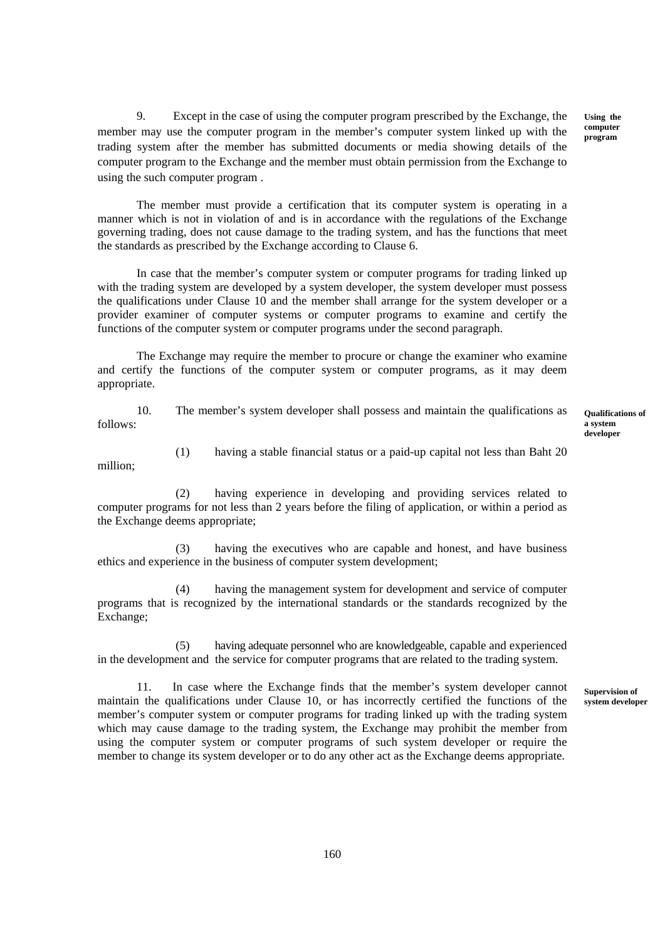9. Except in the case of using the computer program prescribed by the Exchange, the member may use the computer program in the member's computer system linked up with the trading system after the member has submitted documents or media showing details of the computer program to the Exchange and the member must obtain permission from the Exchange to using the such computer program .

**Using the computer program** 

The member must provide a certification that its computer system is operating in a manner which is not in violation of and is in accordance with the regulations of the Exchange governing trading, does not cause damage to the trading system, and has the functions that meet the standards as prescribed by the Exchange according to Clause 6.

In case that the member's computer system or computer programs for trading linked up with the trading system are developed by a system developer, the system developer must possess the qualifications under Clause 10 and the member shall arrange for the system developer or a provider examiner of computer systems or computer programs to examine and certify the functions of the computer system or computer programs under the second paragraph.

The Exchange may require the member to procure or change the examiner who examine and certify the functions of the computer system or computer programs, as it may deem appropriate.

10. The member's system developer shall possess and maintain the qualifications as follows:

**Qualifications of a system developer** 

million;

(1) having a stable financial status or a paid-up capital not less than Baht 20

(2) having experience in developing and providing services related to computer programs for not less than 2 years before the filing of application, or within a period as the Exchange deems appropriate;

(3) having the executives who are capable and honest, and have business ethics and experience in the business of computer system development;

(4) having the management system for development and service of computer programs that is recognized by the international standards or the standards recognized by the Exchange;

(5) having adequate personnel who are knowledgeable, capable and experienced in the development and the service for computer programs that are related to the trading system.

11. In case where the Exchange finds that the member's system developer cannot maintain the qualifications under Clause 10, or has incorrectly certified the functions of the member's computer system or computer programs for trading linked up with the trading system which may cause damage to the trading system, the Exchange may prohibit the member from using the computer system or computer programs of such system developer or require the member to change its system developer or to do any other act as the Exchange deems appropriate.

**Supervision of system developer**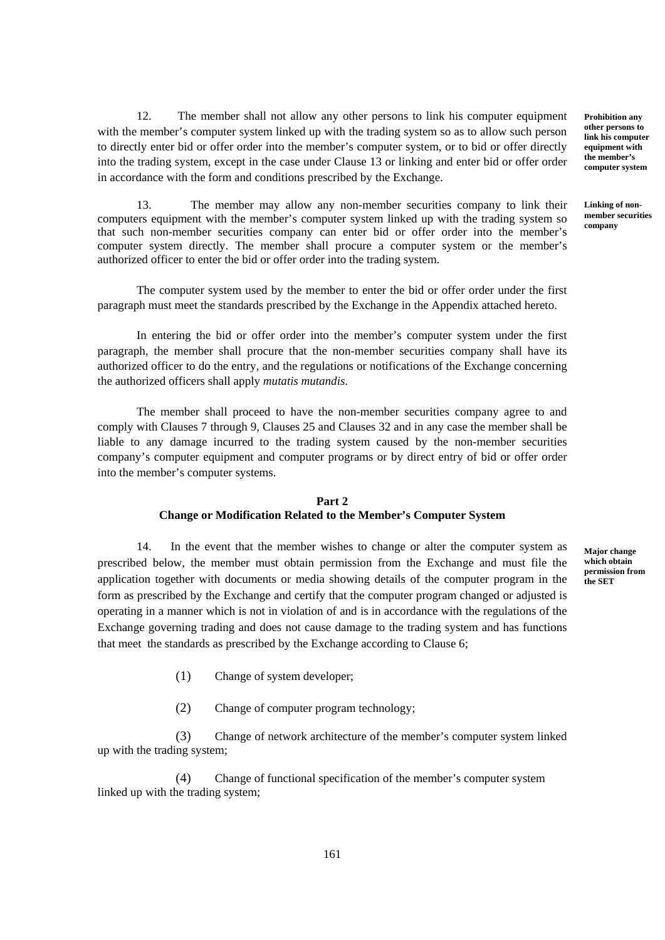12. The member shall not allow any other persons to link his computer equipment with the member's computer system linked up with the trading system so as to allow such person to directly enter bid or offer order into the member's computer system, or to bid or offer directly into the trading system, except in the case under Clause 13 or linking and enter bid or offer order in accordance with the form and conditions prescribed by the Exchange.

13. The member may allow any non-member securities company to link their computers equipment with the member's computer system linked up with the trading system so that such non-member securities company can enter bid or offer order into the member's computer system directly. The member shall procure a computer system or the member's authorized officer to enter the bid or offer order into the trading system.

The computer system used by the member to enter the bid or offer order under the first paragraph must meet the standards prescribed by the Exchange in the Appendix attached hereto.

In entering the bid or offer order into the member's computer system under the first paragraph, the member shall procure that the non-member securities company shall have its authorized officer to do the entry, and the regulations or notifications of the Exchange concerning the authorized officers shall apply *mutatis mutandis*.

The member shall proceed to have the non-member securities company agree to and comply with Clauses 7 through 9, Clauses 25 and Clauses 32 and in any case the member shall be liable to any damage incurred to the trading system caused by the non-member securities company's computer equipment and computer programs or by direct entry of bid or offer order into the member's computer systems.

#### **Part 2 Change or Modification Related to the Member's Computer System**

14. In the event that the member wishes to change or alter the computer system as prescribed below, the member must obtain permission from the Exchange and must file the application together with documents or media showing details of the computer program in the form as prescribed by the Exchange and certify that the computer program changed or adjusted is operating in a manner which is not in violation of and is in accordance with the regulations of the Exchange governing trading and does not cause damage to the trading system and has functions that meet the standards as prescribed by the Exchange according to Clause 6;

**Major change which obtain permission from the SET** 

- (1) Change of system developer;
- (2) Change of computer program technology;

(3) Change of network architecture of the member's computer system linked up with the trading system;

(4) Change of functional specification of the member's computer system linked up with the trading system:

**Prohibition any other persons to link his computer equipment with the member's computer system** 

**Linking of nonmember securities company**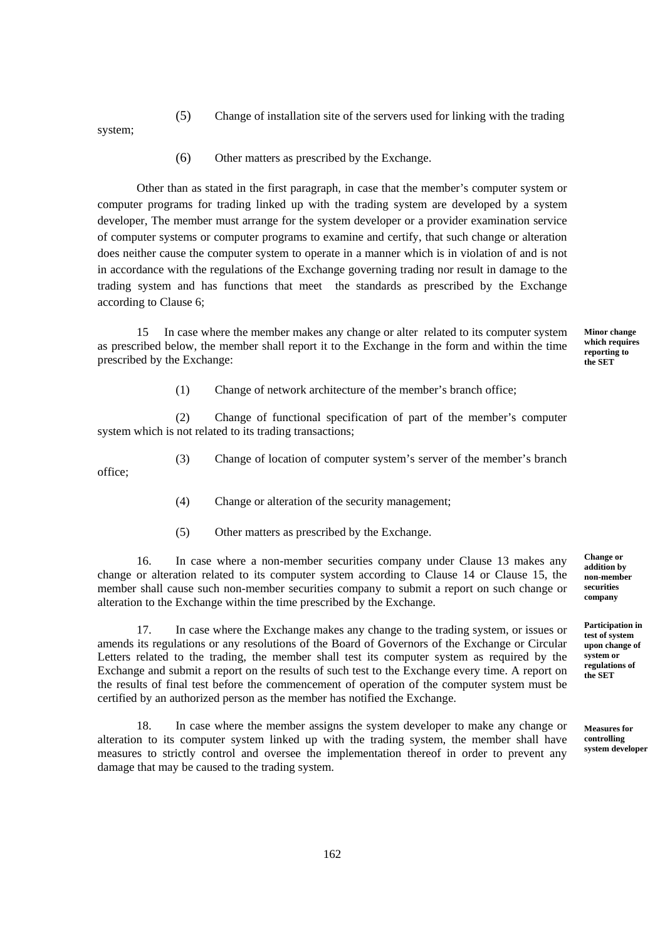(5) Change of installation site of the servers used for linking with the trading

system;

office;

(6) Other matters as prescribed by the Exchange.

Other than as stated in the first paragraph, in case that the member's computer system or computer programs for trading linked up with the trading system are developed by a system developer, The member must arrange for the system developer or a provider examination service of computer systems or computer programs to examine and certify, that such change or alteration does neither cause the computer system to operate in a manner which is in violation of and is not in accordance with the regulations of the Exchange governing trading nor result in damage to the trading system and has functions that meet the standards as prescribed by the Exchange according to Clause 6;

15 In case where the member makes any change or alter related to its computer system as prescribed below, the member shall report it to the Exchange in the form and within the time prescribed by the Exchange:

**Minor change which requires reporting to the SET** 

(1) Change of network architecture of the member's branch office;

(2) Change of functional specification of part of the member's computer system which is not related to its trading transactions;

(3) Change of location of computer system's server of the member's branch

- (4) Change or alteration of the security management;
- (5) Other matters as prescribed by the Exchange.

16. In case where a non-member securities company under Clause 13 makes any change or alteration related to its computer system according to Clause 14 or Clause 15, the member shall cause such non-member securities company to submit a report on such change or alteration to the Exchange within the time prescribed by the Exchange.

17. In case where the Exchange makes any change to the trading system, or issues or amends its regulations or any resolutions of the Board of Governors of the Exchange or Circular Letters related to the trading, the member shall test its computer system as required by the Exchange and submit a report on the results of such test to the Exchange every time. A report on the results of final test before the commencement of operation of the computer system must be certified by an authorized person as the member has notified the Exchange.

18. In case where the member assigns the system developer to make any change or alteration to its computer system linked up with the trading system, the member shall have measures to strictly control and oversee the implementation thereof in order to prevent any damage that may be caused to the trading system.

**Change or addition by non-member securities company** 

**Participation in test of system upon change of system or regulations of the SET** 

**Measures for controlling system developer**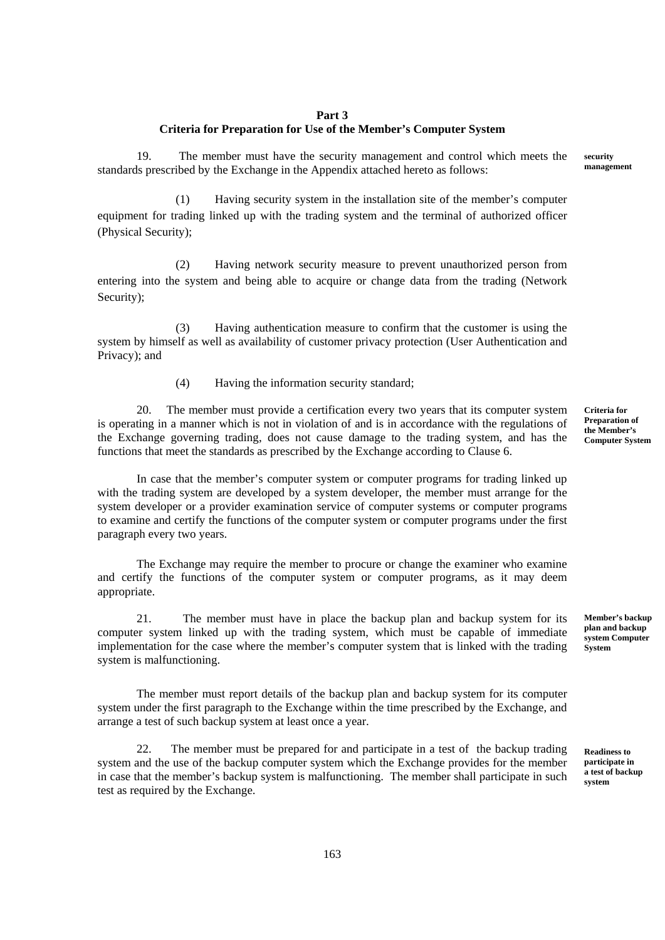#### **Part 3**

#### **Criteria for Preparation for Use of the Member's Computer System**

19. The member must have the security management and control which meets the standards prescribed by the Exchange in the Appendix attached hereto as follows:

(1) Having security system in the installation site of the member's computer equipment for trading linked up with the trading system and the terminal of authorized officer (Physical Security);

(2) Having network security measure to prevent unauthorized person from entering into the system and being able to acquire or change data from the trading (Network Security);

(3) Having authentication measure to confirm that the customer is using the system by himself as well as availability of customer privacy protection (User Authentication and Privacy); and

(4) Having the information security standard;

The member must provide a certification every two years that its computer system is operating in a manner which is not in violation of and is in accordance with the regulations of the Exchange governing trading, does not cause damage to the trading system, and has the functions that meet the standards as prescribed by the Exchange according to Clause 6.

In case that the member's computer system or computer programs for trading linked up with the trading system are developed by a system developer, the member must arrange for the system developer or a provider examination service of computer systems or computer programs to examine and certify the functions of the computer system or computer programs under the first paragraph every two years.

 The Exchange may require the member to procure or change the examiner who examine and certify the functions of the computer system or computer programs, as it may deem appropriate.

21. The member must have in place the backup plan and backup system for its computer system linked up with the trading system, which must be capable of immediate implementation for the case where the member's computer system that is linked with the trading system is malfunctioning.

The member must report details of the backup plan and backup system for its computer system under the first paragraph to the Exchange within the time prescribed by the Exchange, and arrange a test of such backup system at least once a year.

22. The member must be prepared for and participate in a test of the backup trading system and the use of the backup computer system which the Exchange provides for the member in case that the member's backup system is malfunctioning. The member shall participate in such test as required by the Exchange.

**Criteria for Preparation of the Member's Computer System** 

**Member's backup plan and backup system Computer System** 

**security management**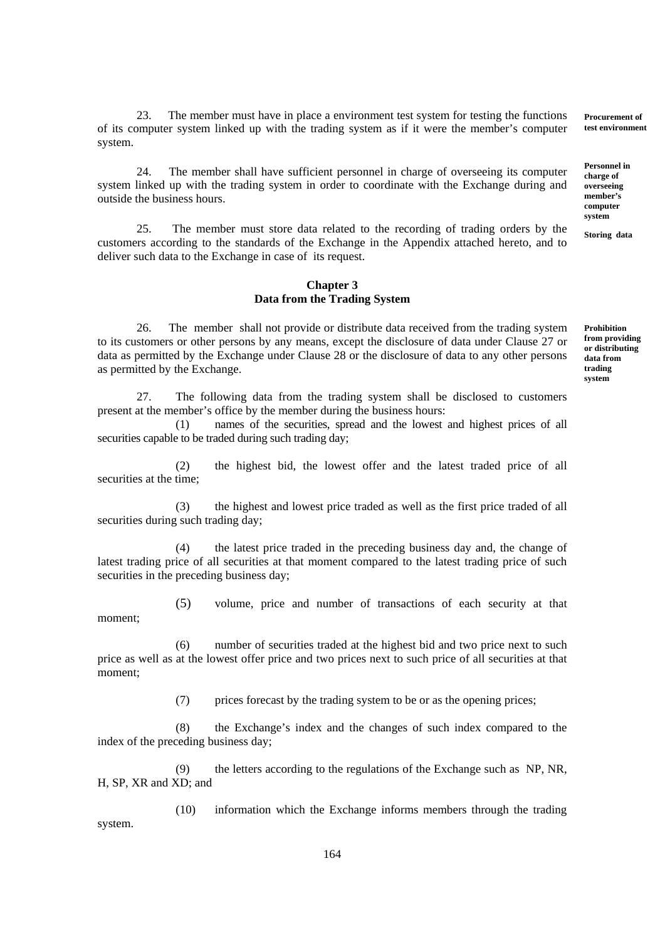23. The member must have in place a environment test system for testing the functions of its computer system linked up with the trading system as if it were the member's computer system.

24. The member shall have sufficient personnel in charge of overseeing its computer system linked up with the trading system in order to coordinate with the Exchange during and outside the business hours.

25. The member must store data related to the recording of trading orders by the customers according to the standards of the Exchange in the Appendix attached hereto, and to deliver such data to the Exchange in case of its request.

#### **Chapter 3 Data from the Trading System**

26. The member shall not provide or distribute data received from the trading system to its customers or other persons by any means, except the disclosure of data under Clause 27 or data as permitted by the Exchange under Clause 28 or the disclosure of data to any other persons as permitted by the Exchange.

27. The following data from the trading system shall be disclosed to customers present at the member's office by the member during the business hours:

 (1) names of the securities, spread and the lowest and highest prices of all securities capable to be traded during such trading day;

 (2) the highest bid, the lowest offer and the latest traded price of all securities at the time;

 (3) the highest and lowest price traded as well as the first price traded of all securities during such trading day;

 (4) the latest price traded in the preceding business day and, the change of latest trading price of all securities at that moment compared to the latest trading price of such securities in the preceding business day;

 (5) volume, price and number of transactions of each security at that moment;

 (6) number of securities traded at the highest bid and two price next to such price as well as at the lowest offer price and two prices next to such price of all securities at that moment;

(7) prices forecast by the trading system to be or as the opening prices;

 (8) the Exchange's index and the changes of such index compared to the index of the preceding business day;

 (9) the letters according to the regulations of the Exchange such as NP, NR, H, SP, XR and XD; and

(10) information which the Exchange informs members through the trading system.

**Prohibition from providing or distributing data from trading** 

**system** 

**Procurement of test environment** 

**Personnel in charge of overseeing member's computer system** 

**Storing data**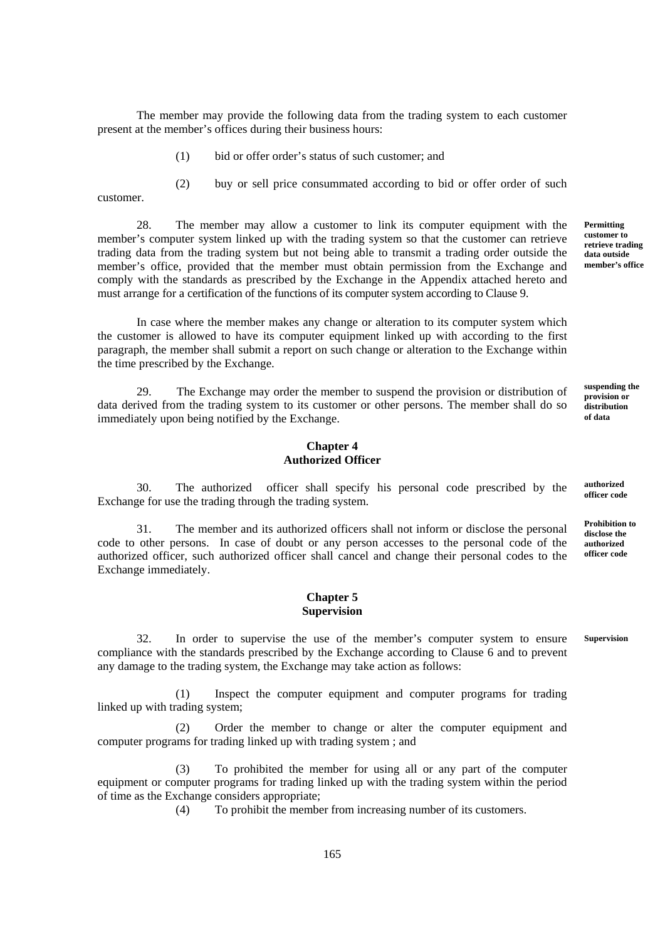The member may provide the following data from the trading system to each customer present at the member's offices during their business hours:

- (1) bid or offer order's status of such customer; and
- (2) buy or sell price consummated according to bid or offer order of such

customer.

28. The member may allow a customer to link its computer equipment with the member's computer system linked up with the trading system so that the customer can retrieve trading data from the trading system but not being able to transmit a trading order outside the member's office, provided that the member must obtain permission from the Exchange and comply with the standards as prescribed by the Exchange in the Appendix attached hereto and must arrange for a certification of the functions of its computer system according to Clause 9.

In case where the member makes any change or alteration to its computer system which the customer is allowed to have its computer equipment linked up with according to the first paragraph, the member shall submit a report on such change or alteration to the Exchange within the time prescribed by the Exchange.

29. The Exchange may order the member to suspend the provision or distribution of data derived from the trading system to its customer or other persons. The member shall do so immediately upon being notified by the Exchange.

### **Chapter 4 Authorized Officer**

 30. The authorized officer shall specify his personal code prescribed by the Exchange for use the trading through the trading system. **authorized officer code** 

31. The member and its authorized officers shall not inform or disclose the personal code to other persons. In case of doubt or any person accesses to the personal code of the authorized officer, such authorized officer shall cancel and change their personal codes to the Exchange immediately.

#### **Chapter 5 Supervision**

32. In order to supervise the use of the member's computer system to ensure compliance with the standards prescribed by the Exchange according to Clause 6 and to prevent any damage to the trading system, the Exchange may take action as follows: **Supervision** 

(1) Inspect the computer equipment and computer programs for trading linked up with trading system;

(2) Order the member to change or alter the computer equipment and computer programs for trading linked up with trading system ; and

(3) To prohibited the member for using all or any part of the computer equipment or computer programs for trading linked up with the trading system within the period of time as the Exchange considers appropriate;

(4) To prohibit the member from increasing number of its customers.

**Permitting customer to retrieve trading data outside member's office** 

**suspending the provision or distribution of data** 

**Prohibition to disclose the** 

**authorized officer code** 

165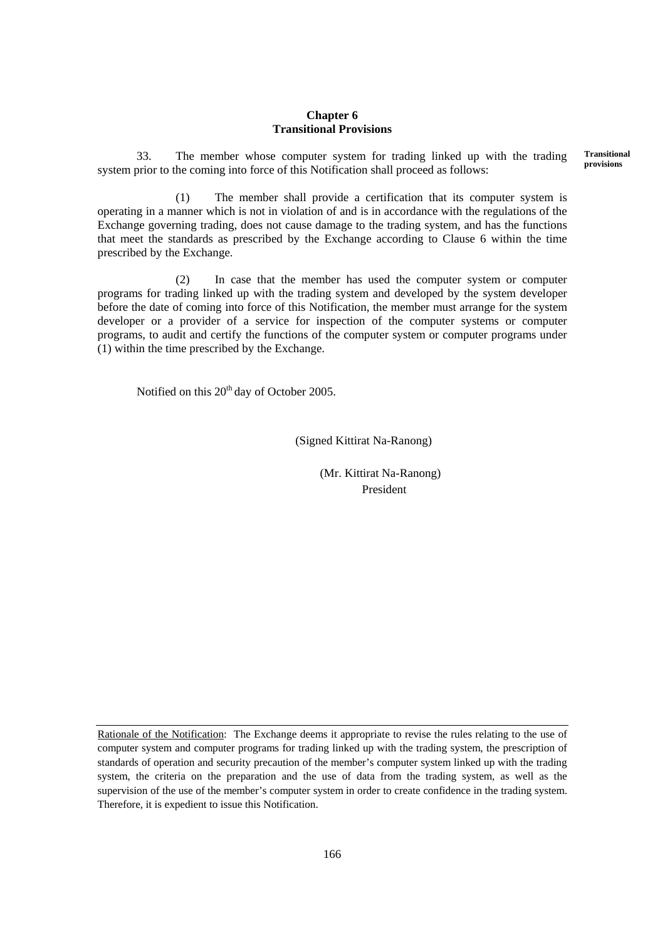#### **Chapter 6 Transitional Provisions**

33. The member whose computer system for trading linked up with the trading system prior to the coming into force of this Notification shall proceed as follows: **Transitional provisions**

(1) The member shall provide a certification that its computer system is operating in a manner which is not in violation of and is in accordance with the regulations of the Exchange governing trading, does not cause damage to the trading system, and has the functions that meet the standards as prescribed by the Exchange according to Clause 6 within the time prescribed by the Exchange.

(2) In case that the member has used the computer system or computer programs for trading linked up with the trading system and developed by the system developer before the date of coming into force of this Notification, the member must arrange for the system developer or a provider of a service for inspection of the computer systems or computer programs, to audit and certify the functions of the computer system or computer programs under (1) within the time prescribed by the Exchange.

Notified on this  $20<sup>th</sup>$  day of October 2005.

(Signed Kittirat Na-Ranong)

 (Mr. Kittirat Na-Ranong) President

Rationale of the Notification: The Exchange deems it appropriate to revise the rules relating to the use of computer system and computer programs for trading linked up with the trading system, the prescription of standards of operation and security precaution of the member's computer system linked up with the trading system, the criteria on the preparation and the use of data from the trading system, as well as the supervision of the use of the member's computer system in order to create confidence in the trading system. Therefore, it is expedient to issue this Notification.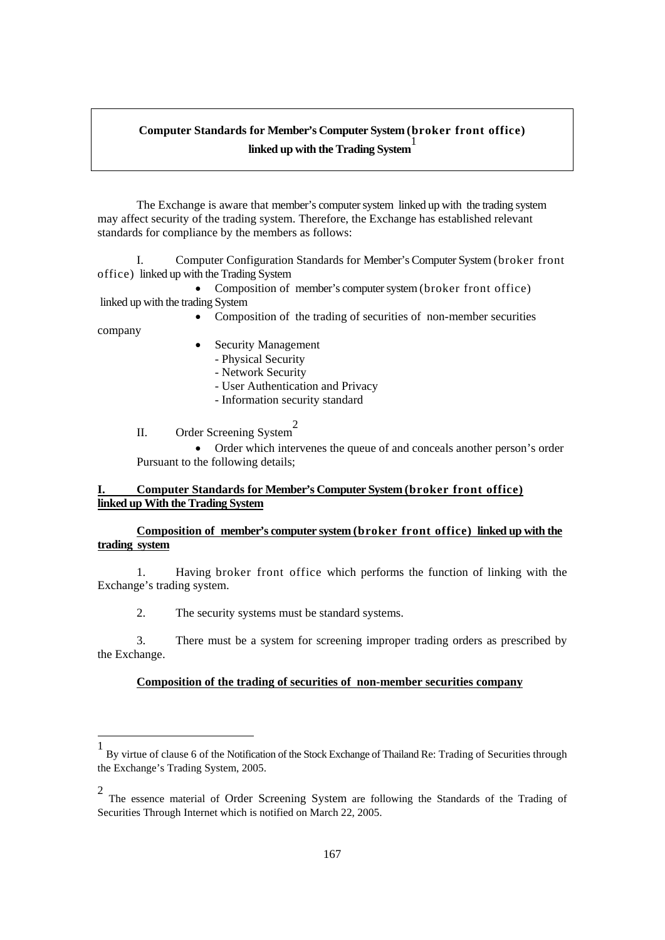# **Computer Standards for Member's Computer System (broker front office) linked up with the Trading System**

 The Exchange is aware that member's computer system linked up with the trading system may affect security of the trading system. Therefore, the Exchange has established relevant standards for compliance by the members as follows:

 I. Computer Configuration Standards for Member's Computer System (broker front office) linked up with the Trading System

• Composition of member's computer system (broker front office) linked up with the trading System

Composition of the trading of securities of non-member securities

company

-

- Security Management
	- Physical Security
	- Network Security
	- User Authentication and Privacy
	- Information security standard

II. Order Screening System<sup>2</sup>

 Order which intervenes the queue of and conceals another person's order Pursuant to the following details;

## **I. Computer Standards for Member's Computer System (broker front office) linked up With the Trading System**

## **Composition of member's computer system (broker front office) linked up with the trading system**

1. Having broker front office which performs the function of linking with the Exchange's trading system.

2. The security systems must be standard systems.

3. There must be a system for screening improper trading orders as prescribed by the Exchange.

## **Composition of the trading of securities of non-member securities company**

<sup>1</sup> By virtue of clause 6 of the Notification of the Stock Exchange of Thailand Re: Trading of Securities through the Exchange's Trading System, 2005.

<sup>2</sup> The essence material of Order Screening System are following the Standards of the Trading of Securities Through Internet which is notified on March 22, 2005.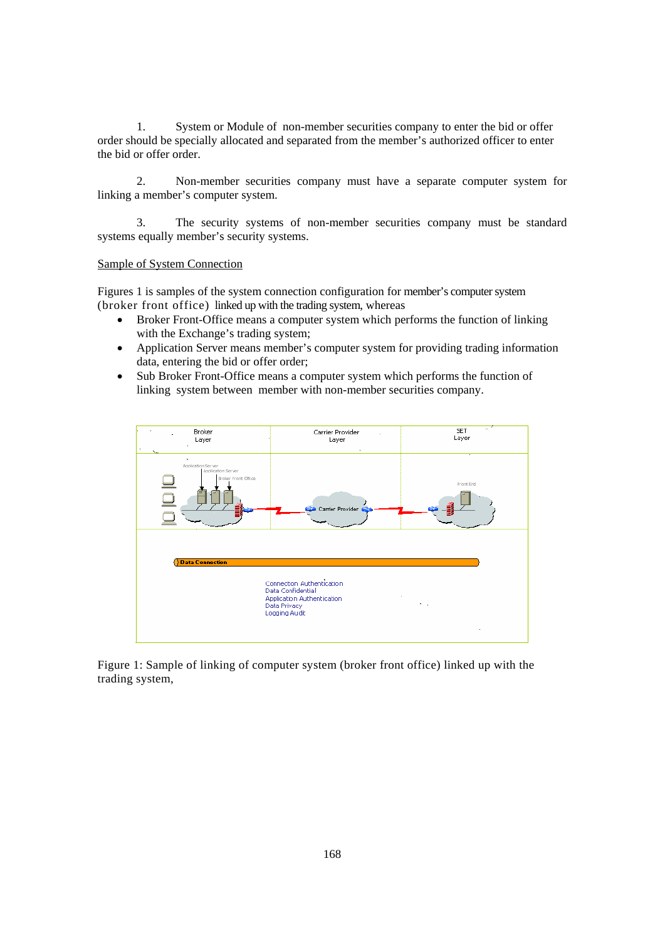1. System or Module of non-member securities company to enter the bid or offer order should be specially allocated and separated from the member's authorized officer to enter the bid or offer order.

2. Non-member securities company must have a separate computer system for linking a member's computer system.

3. The security systems of non-member securities company must be standard systems equally member's security systems.

### Sample of System Connection

Figures 1 is samples of the system connection configuration for member's computer system (broker front office) linked up with the trading system, whereas

- Broker Front-Office means a computer system which performs the function of linking with the Exchange's trading system;
- Application Server means member's computer system for providing trading information data, entering the bid or offer order;
- Sub Broker Front-Office means a computer system which performs the function of linking system between member with non-member securities company.



Figure 1: Sample of linking of computer system (broker front office) linked up with the trading system,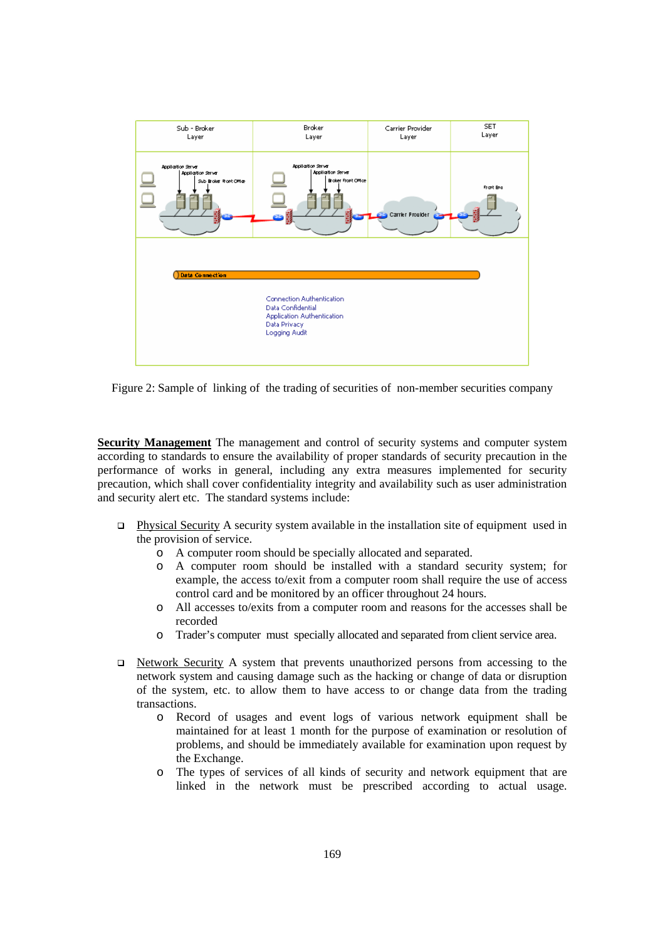

Figure 2: Sample of linking of the trading of securities of non-member securities company

**Security Management** The management and control of security systems and computer system according to standards to ensure the availability of proper standards of security precaution in the performance of works in general, including any extra measures implemented for security precaution, which shall cover confidentiality integrity and availability such as user administration and security alert etc. The standard systems include:

- Physical Security A security system available in the installation site of equipment used in the provision of service.
	- o A computer room should be specially allocated and separated.
	- o A computer room should be installed with a standard security system; for example, the access to/exit from a computer room shall require the use of access control card and be monitored by an officer throughout 24 hours.
	- o All accesses to/exits from a computer room and reasons for the accesses shall be recorded
	- o Trader's computer must specially allocated and separated from client service area.
- Network Security A system that prevents unauthorized persons from accessing to the network system and causing damage such as the hacking or change of data or disruption of the system, etc. to allow them to have access to or change data from the trading transactions.
	- o Record of usages and event logs of various network equipment shall be maintained for at least 1 month for the purpose of examination or resolution of problems, and should be immediately available for examination upon request by the Exchange.
	- o The types of services of all kinds of security and network equipment that are linked in the network must be prescribed according to actual usage.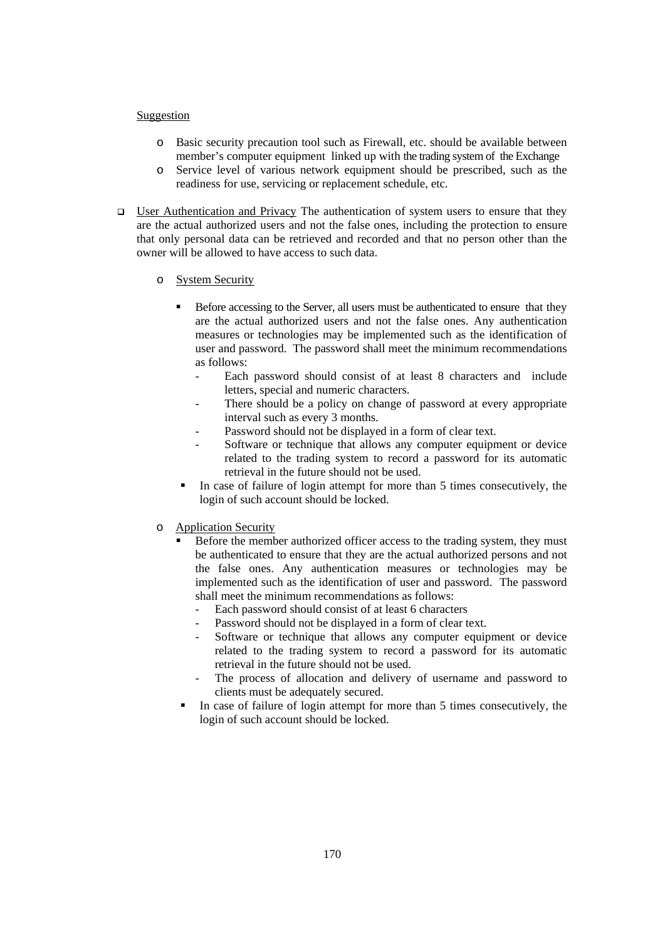#### Suggestion

- o Basic security precaution tool such as Firewall, etc. should be available between member's computer equipment linked up with the trading system of the Exchange
- o Service level of various network equipment should be prescribed, such as the readiness for use, servicing or replacement schedule, etc.
- □ User Authentication and Privacy The authentication of system users to ensure that they are the actual authorized users and not the false ones, including the protection to ensure that only personal data can be retrieved and recorded and that no person other than the owner will be allowed to have access to such data.
	- o System Security
		- Before accessing to the Server, all users must be authenticated to ensure that they are the actual authorized users and not the false ones. Any authentication measures or technologies may be implemented such as the identification of user and password. The password shall meet the minimum recommendations as follows:
			- Each password should consist of at least 8 characters and include letters, special and numeric characters.
			- There should be a policy on change of password at every appropriate interval such as every 3 months.
			- Password should not be displayed in a form of clear text.
			- Software or technique that allows any computer equipment or device related to the trading system to record a password for its automatic retrieval in the future should not be used.
		- In case of failure of login attempt for more than 5 times consecutively, the login of such account should be locked.
	- o Application Security
		- Before the member authorized officer access to the trading system, they must be authenticated to ensure that they are the actual authorized persons and not the false ones. Any authentication measures or technologies may be implemented such as the identification of user and password. The password shall meet the minimum recommendations as follows:
			- Each password should consist of at least 6 characters
			- Password should not be displayed in a form of clear text.
			- Software or technique that allows any computer equipment or device related to the trading system to record a password for its automatic retrieval in the future should not be used.
			- The process of allocation and delivery of username and password to clients must be adequately secured.
		- In case of failure of login attempt for more than 5 times consecutively, the login of such account should be locked.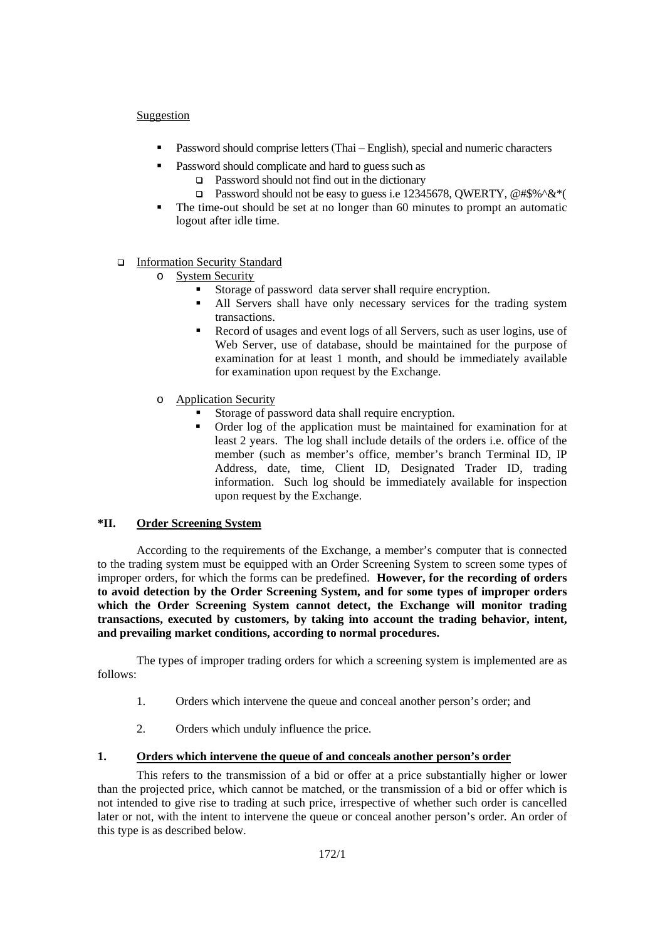## **Suggestion**

- **Password should comprise letters (Thai English), special and numeric characters**
- **Password should complicate and hard to guess such as** 
	- Password should not find out in the dictionary
	- **Password should not be easy to guess i.e 12345678, OWERTY, @#\$%^&\*(**
- The time-out should be set at no longer than 60 minutes to prompt an automatic logout after idle time.

## □ Information Security Standard

- o System Security
	- Storage of password data server shall require encryption.
	- All Servers shall have only necessary services for the trading system transactions.
	- Record of usages and event logs of all Servers, such as user logins, use of Web Server, use of database, should be maintained for the purpose of examination for at least 1 month, and should be immediately available for examination upon request by the Exchange.
- o Application Security
	- Storage of password data shall require encryption.
	- Order log of the application must be maintained for examination for at least 2 years. The log shall include details of the orders i.e. office of the member (such as member's office, member's branch Terminal ID, IP Address, date, time, Client ID, Designated Trader ID, trading information. Such log should be immediately available for inspection upon request by the Exchange.

## **\*II. Order Screening System**

 According to the requirements of the Exchange, a member's computer that is connected to the trading system must be equipped with an Order Screening System to screen some types of improper orders, for which the forms can be predefined. **However, for the recording of orders to avoid detection by the Order Screening System, and for some types of improper orders which the Order Screening System cannot detect, the Exchange will monitor trading transactions, executed by customers, by taking into account the trading behavior, intent, and prevailing market conditions, according to normal procedures.**

 The types of improper trading orders for which a screening system is implemented are as follows:

- 1. Orders which intervene the queue and conceal another person's order; and
- 2. Orders which unduly influence the price.

## **1. Orders which intervene the queue of and conceals another person's order**

This refers to the transmission of a bid or offer at a price substantially higher or lower than the projected price, which cannot be matched, or the transmission of a bid or offer which is not intended to give rise to trading at such price, irrespective of whether such order is cancelled later or not, with the intent to intervene the queue or conceal another person's order. An order of this type is as described below.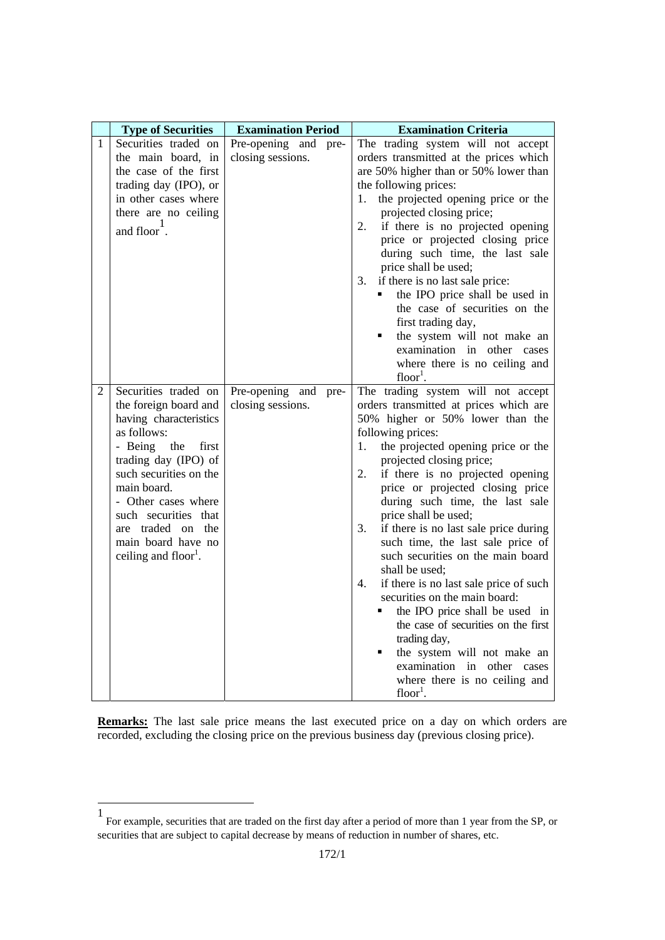|              | <b>Type of Securities</b>                                                                                                                                                                                                                                                                                        | <b>Examination Period</b>                    | <b>Examination Criteria</b>                                                                                                                                                                                                                                                                                                                                                                                                                                                                                                                                                                                                                                                                                                                                                                  |
|--------------|------------------------------------------------------------------------------------------------------------------------------------------------------------------------------------------------------------------------------------------------------------------------------------------------------------------|----------------------------------------------|----------------------------------------------------------------------------------------------------------------------------------------------------------------------------------------------------------------------------------------------------------------------------------------------------------------------------------------------------------------------------------------------------------------------------------------------------------------------------------------------------------------------------------------------------------------------------------------------------------------------------------------------------------------------------------------------------------------------------------------------------------------------------------------------|
| $\mathbf{1}$ | Securities traded on<br>the main board, in<br>the case of the first<br>trading day (IPO), or<br>in other cases where<br>there are no ceiling<br>and floor.                                                                                                                                                       | Pre-opening and pre-<br>closing sessions.    | The trading system will not accept<br>orders transmitted at the prices which<br>are 50% higher than or 50% lower than<br>the following prices:<br>the projected opening price or the<br>1.<br>projected closing price;<br>2.<br>if there is no projected opening<br>price or projected closing price<br>during such time, the last sale<br>price shall be used;<br>3.<br>if there is no last sale price:<br>the IPO price shall be used in<br>the case of securities on the<br>first trading day,<br>the system will not make an<br>examination in other cases<br>where there is no ceiling and<br>$floor1$ .                                                                                                                                                                                |
| 2            | Securities traded on<br>the foreign board and<br>having characteristics<br>as follows:<br>- Being<br>the<br>first<br>trading day (IPO) of<br>such securities on the<br>main board.<br>- Other cases where<br>such securities that<br>are traded on the<br>main board have no<br>ceiling and floor <sup>1</sup> . | Pre-opening<br>and pre-<br>closing sessions. | The trading system will not accept<br>orders transmitted at prices which are<br>50% higher or 50% lower than the<br>following prices:<br>the projected opening price or the<br>1.<br>projected closing price;<br>if there is no projected opening<br>2.<br>price or projected closing price<br>during such time, the last sale<br>price shall be used;<br>if there is no last sale price during<br>3.<br>such time, the last sale price of<br>such securities on the main board<br>shall be used;<br>4.<br>if there is no last sale price of such<br>securities on the main board:<br>the IPO price shall be used in<br>the case of securities on the first<br>trading day,<br>the system will not make an<br>٠<br>examination in other cases<br>where there is no ceiling and<br>$floor1$ . |

**Remarks:** The last sale price means the last executed price on a day on which orders are recorded, excluding the closing price on the previous business day (previous closing price).

1

<sup>1</sup> For example, securities that are traded on the first day after a period of more than 1 year from the SP, or securities that are subject to capital decrease by means of reduction in number of shares, etc.